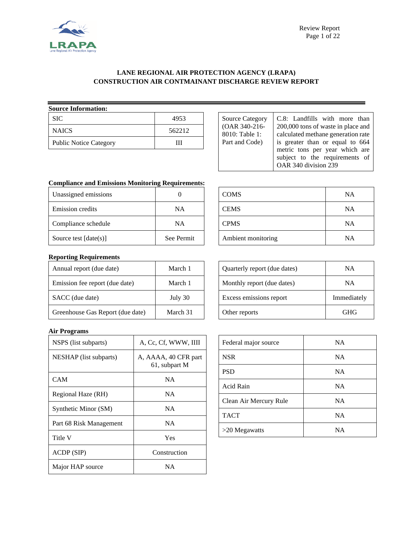

## **LANE REGIONAL AIR PROTECTION AGENCY (LRAPA) CONSTRUCTION AIR CONTMAINANT DISCHARGE REVIEW REPORT**

| <b>Source Information:</b>    |        |                                 |  |
|-------------------------------|--------|---------------------------------|--|
| <b>SIC</b>                    | 4953   | <b>Source Category</b>          |  |
| <b>NAICS</b>                  | 562212 | (OAR 340-216-<br>8010: Table 1: |  |
| <b>Public Notice Category</b> | Ш      | Part and Code)                  |  |

| <b>Source Category</b> | C.8: Landfills with more than      |
|------------------------|------------------------------------|
| (OAR 340-216-          | 200,000 tons of waste in place and |
| 8010: Table 1:         | calculated methane generation rate |
| Part and Code)         | is greater than or equal to 664    |
|                        | metric tons per year which are     |
|                        | subject to the requirements of     |
|                        | OAR 340 division 239               |
|                        |                                    |

## **Compliance and Emissions Monitoring Requirements:**

| Unassigned emissions    |            |
|-------------------------|------------|
| <b>Emission</b> credits | NA         |
| Compliance schedule     | NA         |
| Source test $[date(s)]$ | See Permit |

## **Reporting Requirements**

| Annual report (due date)         | March 1  |
|----------------------------------|----------|
| Emission fee report (due date)   | March 1  |
| SACC (due date)                  | July 30  |
| Greenhouse Gas Report (due date) | March 31 |

## **Air Programs**

| NSPS (list subparts)    | A, Cc, Cf, WWW, IIII                  |
|-------------------------|---------------------------------------|
| NESHAP (list subparts)  | A, AAAA, 40 CFR part<br>61, subpart M |
| CAM                     | <b>NA</b>                             |
| Regional Haze (RH)      | <b>NA</b>                             |
| Synthetic Minor (SM)    | <b>NA</b>                             |
| Part 68 Risk Management | <b>NA</b>                             |
| Title V                 | Yes                                   |
| ACDP (SIP)              | Construction                          |
| Major HAP source        | ΝA                                    |

| <b>COMS</b>        | NA        |
|--------------------|-----------|
| <b>CEMS</b>        | <b>NA</b> |
| <b>CPMS</b>        | <b>NA</b> |
| Ambient monitoring | NA        |

| Quarterly report (due dates) | ΝA          |
|------------------------------|-------------|
| Monthly report (due dates)   | ΝA          |
| Excess emissions report      | Immediately |
| Other reports                | GHG         |

| Federal major source   | <b>NA</b> |
|------------------------|-----------|
| <b>NSR</b>             | <b>NA</b> |
| <b>PSD</b>             | <b>NA</b> |
| Acid Rain              | <b>NA</b> |
| Clean Air Mercury Rule | <b>NA</b> |
| <b>TACT</b>            | <b>NA</b> |
| >20 Megawatts          | <b>NA</b> |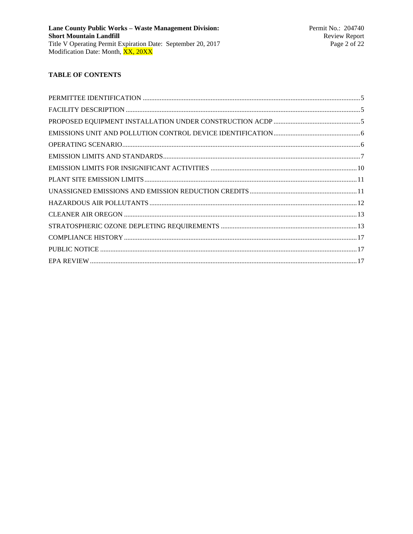## **TABLE OF CONTENTS**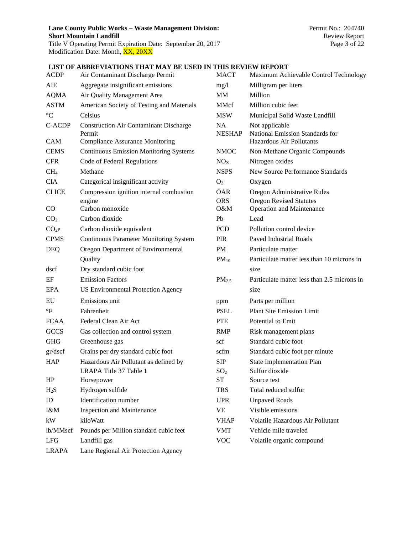## **Lane County Public Works – Waste Management Division:** Permit No.: 204740 **Short Mountain Landfill**<br>Title V Operating Permit Expiration Date: September 20, 2017 Page 3 of 22

Title V Operating Permit Expiration Date: September 20, 2017 Page 3 of 22 Modification Date: Month, <mark>XX, 20XX</mark>

| <b>ACDP</b>               | Air Contaminant Discharge Permit                                                                  | <b>MACT</b>                     | Maximum Achievable Control Technology                                                             |
|---------------------------|---------------------------------------------------------------------------------------------------|---------------------------------|---------------------------------------------------------------------------------------------------|
| AIE                       | Aggregate insignificant emissions                                                                 | mg/1                            | Milligram per liters                                                                              |
| <b>AQMA</b>               | Air Quality Management Area                                                                       | MM                              | Million                                                                                           |
| <b>ASTM</b>               | American Society of Testing and Materials                                                         | <b>MMcf</b>                     | Million cubic feet                                                                                |
| $\rm ^{\circ}C$           | Celsius                                                                                           | <b>MSW</b>                      | Municipal Solid Waste Landfill                                                                    |
| C-ACDP<br><b>CAM</b>      | <b>Construction Air Contaminant Discharge</b><br>Permit<br><b>Compliance Assurance Monitoring</b> | <b>NA</b><br><b>NESHAP</b>      | Not applicable<br>National Emission Standards for<br>Hazardous Air Pollutants                     |
| <b>CEMS</b>               | <b>Continuous Emission Monitoring Systems</b>                                                     | <b>NMOC</b>                     | Non-Methane Organic Compounds                                                                     |
| <b>CFR</b>                | Code of Federal Regulations                                                                       | NO <sub>X</sub>                 | Nitrogen oxides                                                                                   |
| CH <sub>4</sub>           | Methane                                                                                           | <b>NSPS</b>                     | <b>New Source Performance Standards</b>                                                           |
| <b>CIA</b>                |                                                                                                   |                                 |                                                                                                   |
|                           | Categorical insignificant activity                                                                | O <sub>2</sub>                  | Oxygen                                                                                            |
| <b>CI ICE</b><br>$\rm CO$ | Compression ignition internal combustion<br>engine<br>Carbon monoxide                             | <b>OAR</b><br><b>ORS</b><br>O&M | Oregon Administrative Rules<br><b>Oregon Revised Statutes</b><br><b>Operation and Maintenance</b> |
| CO <sub>2</sub>           | Carbon dioxide                                                                                    | Pb                              | Lead                                                                                              |
| CO <sub>2</sub> e         | Carbon dioxide equivalent                                                                         | <b>PCD</b>                      | Pollution control device                                                                          |
| <b>CPMS</b>               | <b>Continuous Parameter Monitoring System</b>                                                     | PIR                             | <b>Paved Industrial Roads</b>                                                                     |
| <b>DEQ</b>                | Oregon Department of Environmental                                                                | <b>PM</b>                       | Particulate matter                                                                                |
|                           | Quality                                                                                           | $PM_{10}$                       | Particulate matter less than 10 microns in                                                        |
| dscf                      | Dry standard cubic foot                                                                           |                                 | size                                                                                              |
| EF                        | <b>Emission Factors</b>                                                                           | PM <sub>2.5</sub>               | Particulate matter less than 2.5 microns in                                                       |
| EPA                       | <b>US Environmental Protection Agency</b>                                                         |                                 | size                                                                                              |
| EU                        | Emissions unit                                                                                    | ppm                             | Parts per million                                                                                 |
| $\mathrm{P}$              | Fahrenheit                                                                                        | <b>PSEL</b>                     | <b>Plant Site Emission Limit</b>                                                                  |
| <b>FCAA</b>               | Federal Clean Air Act                                                                             | <b>PTE</b>                      | Potential to Emit                                                                                 |
| GCCS                      | Gas collection and control system                                                                 | <b>RMP</b>                      | Risk management plans                                                                             |
| <b>GHG</b>                | Greenhouse gas                                                                                    | scf                             | Standard cubic foot                                                                               |
| gr/dscf                   | Grains per dry standard cubic foot                                                                | scfm                            | Standard cubic foot per minute                                                                    |
| <b>HAP</b>                | Hazardous Air Pollutant as defined by                                                             | <b>SIP</b>                      | <b>State Implementation Plan</b>                                                                  |
|                           | LRAPA Title 37 Table 1                                                                            | SO <sub>2</sub>                 | Sulfur dioxide                                                                                    |
| HP                        | Horsepower                                                                                        | <b>ST</b>                       | Source test                                                                                       |
| $H_2S$                    | Hydrogen sulfide                                                                                  | <b>TRS</b>                      | Total reduced sulfur                                                                              |
| ID                        | Identification number                                                                             | <b>UPR</b>                      | <b>Unpaved Roads</b>                                                                              |
| I&M                       | <b>Inspection and Maintenance</b>                                                                 | <b>VE</b>                       | Visible emissions                                                                                 |
| kW                        | kiloWatt                                                                                          | <b>VHAP</b>                     | Volatile Hazardous Air Pollutant                                                                  |
| lb/MMscf                  | Pounds per Million standard cubic feet                                                            | <b>VMT</b>                      | Vehicle mile traveled                                                                             |
| <b>LFG</b>                | Landfill gas                                                                                      | <b>VOC</b>                      | Volatile organic compound                                                                         |
| <b>LRAPA</b>              | Lane Regional Air Protection Agency                                                               |                                 |                                                                                                   |

## **LIST OF ABBREVIATIONS THAT MAY BE USED IN THIS REVIEW REPORT**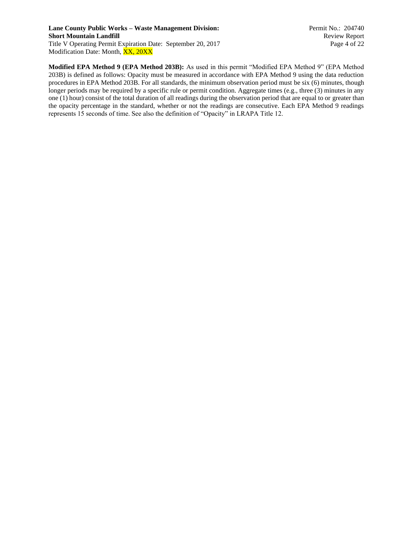**Lane County Public Works – Waste Management Division:** Permit No.: 204740 **Short Mountain Landfill Review Report Review Report** Title V Operating Permit Expiration Date: September 20, 2017 Page 4 of 22 Modification Date: Month, XX, 20XX

**Modified EPA Method 9 (EPA Method 203B):** As used in this permit "Modified EPA Method 9" (EPA Method 203B) is defined as follows: Opacity must be measured in accordance with EPA Method 9 using the data reduction procedures in EPA Method 203B. For all standards, the minimum observation period must be six (6) minutes, though longer periods may be required by a specific rule or permit condition. Aggregate times (e.g., three (3) minutes in any one (1) hour) consist of the total duration of all readings during the observation period that are equal to or greater than the opacity percentage in the standard, whether or not the readings are consecutive. Each EPA Method 9 readings represents 15 seconds of time. See also the definition of "Opacity" in LRAPA Title 12.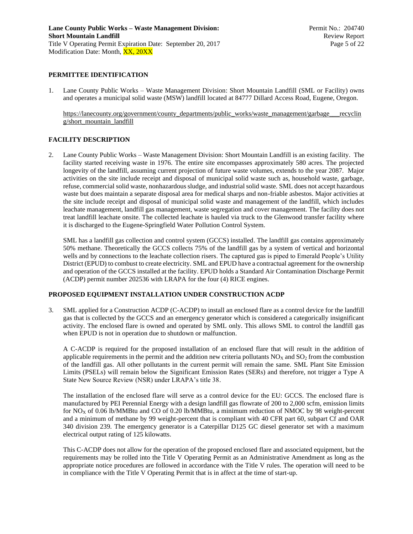#### **PERMITTEE IDENTIFICATION**

1. Lane County Public Works – Waste Management Division: Short Mountain Landfill (SML or Facility) owns and operates a municipal solid waste (MSW) landfill located at 84777 Dillard Access Road, Eugene, Oregon.

[https://lanecounty.org/government/county\\_departments/public\\_works/waste\\_management/garbage\\_\\_\\_recyclin](https://lanecounty.org/government/county_departments/public_works/waste_management/garbage___recycling/short_mountain_landfill) [g/short\\_mountain\\_landfill](https://lanecounty.org/government/county_departments/public_works/waste_management/garbage___recycling/short_mountain_landfill)

#### **FACILITY DESCRIPTION**

2. Lane County Public Works – Waste Management Division: Short Mountain Landfill is an existing facility. The facility started receiving waste in 1976. The entire site encompasses approximately 580 acres. The projected longevity of the landfill, assuming current projection of future waste volumes, extends to the year 2087. Major activities on the site include receipt and disposal of municipal solid waste such as, household waste, garbage, refuse, commercial solid waste, nonhazardous sludge, and industrial solid waste. SML does not accept hazardous waste but does maintain a separate disposal area for medical sharps and non-friable asbestos. Major activities at the site include receipt and disposal of municipal solid waste and management of the landfill, which includes leachate management, landfill gas management, waste segregation and cover management. The facility does not treat landfill leachate onsite. The collected leachate is hauled via truck to the Glenwood transfer facility where it is discharged to the Eugene-Springfield Water Pollution Control System.

SML has a landfill gas collection and control system (GCCS) installed. The landfill gas contains approximately 50% methane. Theoretically the GCCS collects 75% of the landfill gas by a system of vertical and horizontal wells and by connections to the leachate collection risers. The captured gas is piped to Emerald People's Utility District (EPUD) to combust to create electricity. SML and EPUD have a contractual agreement for the ownership and operation of the GCCS installed at the facility. EPUD holds a Standard Air Contamination Discharge Permit (ACDP) permit number 202536 with LRAPA for the four (4) RICE engines.

#### **PROPOSED EQUIPMENT INSTALLATION UNDER CONSTRUCTION ACDP**

3. SML applied for a Construction ACDP (C-ACDP) to install an enclosed flare as a control device for the landfill gas that is collected by the GCCS and an emergency generator which is considered a categorically insignificant activity. The enclosed flare is owned and operated by SML only. This allows SML to control the landfill gas when EPUD is not in operation due to shutdown or malfunction.

A C-ACDP is required for the proposed installation of an enclosed flare that will result in the addition of applicable requirements in the permit and the addition new criteria pollutants  $NO<sub>X</sub>$  and  $SO<sub>2</sub>$  from the combustion of the landfill gas. All other pollutants in the current permit will remain the same. SML Plant Site Emission Limits (PSELs) will remain below the Significant Emission Rates (SERs) and therefore, not trigger a Type A State New Source Review (NSR) under LRAPA's title 38.

The installation of the enclosed flare will serve as a control device for the EU: GCCS. The enclosed flare is manufactured by PEI Perennial Energy with a design landfill gas flowrate of 200 to 2,000 scfm, emission limits for NO<sub>X</sub> of 0.06 lb/MMBtu and CO of 0.20 lb/MMBtu, a minimum reduction of NMOC by 98 weight-percent and a minimum of methane by 99 weight-percent that is compliant with 40 CFR part 60, subpart Cf and OAR 340 division 239. The emergency generator is a Caterpillar D125 GC diesel generator set with a maximum electrical output rating of 125 kilowatts.

This C-ACDP does not allow for the operation of the proposed enclosed flare and associated equipment, but the requirements may be rolled into the Title V Operating Permit as an Administrative Amendment as long as the appropriate notice procedures are followed in accordance with the Title V rules. The operation will need to be in compliance with the Title V Operating Permit that is in affect at the time of start-up.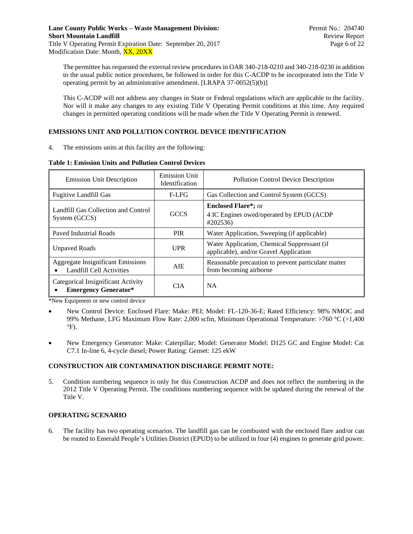The permittee has requested the external review procedures in OAR 340-218-0210 and 340-218-0230 in addition to the usual public notice procedures, be followed in order for this C-ACDP to be incorporated into the Title V operating permit by an administrative amendment. [LRAPA 37-0052(5)(b)]

This C-ACDP will not address any changes in State or Federal regulations which are applicable to the facility. Nor will it make any changes to any existing Title V Operating Permit conditions at this time. Any required changes in permitted operating conditions will be made when the Title V Operating Permit is renewed.

## **EMISSIONS UNIT AND POLLUTION CONTROL DEVICE IDENTIFICATION**

4. The emissions units at this facility are the following:

| <b>Table 1: Emission Units and Pollution Control Devices</b> |  |
|--------------------------------------------------------------|--|
|--------------------------------------------------------------|--|

| <b>Emission Unit Description</b>                                            | <b>Emission Unit</b><br>Identification | <b>Pollution Control Device Description</b>                                           |
|-----------------------------------------------------------------------------|----------------------------------------|---------------------------------------------------------------------------------------|
| <b>Fugitive Landfill Gas</b>                                                | F-LFG                                  | Gas Collection and Control System (GCCS)                                              |
| Landfill Gas Collection and Control<br>System (GCCS)                        | <b>GCCS</b>                            | <b>Enclosed Flare*; or</b><br>4 IC Engines owed/operated by EPUD (ACDP)<br>#202536)   |
| Paved Industrial Roads                                                      | <b>PIR</b>                             | Water Application, Sweeping (if applicable)                                           |
| <b>Unpaved Roads</b>                                                        | <b>UPR</b>                             | Water Application, Chemical Suppressant (if<br>applicable), and/or Gravel Application |
| <b>Aggregate Insignificant Emissions</b><br><b>Landfill Cell Activities</b> | AIE                                    | Reasonable precaution to prevent particulate matter<br>from becoming airborne         |
| Categorical Insignificant Activity<br><b>Emergency Generator*</b>           | <b>CIA</b>                             | <b>NA</b>                                                                             |

\*New Equipment or new control device

- New Control Device: Enclosed Flare: Make: PEI; Model: FL-120-36-E; Rated Efficiency: 98% NMOC and 99% Methane, LFG Maximum Flow Rate: 2,000 scfm, Minimum Operational Temperature: >760 °C (>1,400  $\mathrm{P}$ .
- New Emergency Generator: Make: Caterpillar; Model: Generator Model: D125 GC and Engine Model: Cat C7.1 In-line 6, 4-cycle diesel; Power Rating: Genset: 125 ekW

#### **CONSTRUCTION AIR CONTAMINATION DISCHARGE PERMIT NOTE:**

5. Condition numbering sequence is only for this Construction ACDP and does not reflect the numbering in the 2012 Title V Operating Permit. The conditions numbering sequence with be updated during the renewal of the Title V.

#### **OPERATING SCENARIO**

6. The facility has two operating scenarios. The landfill gas can be combusted with the enclosed flare and/or can be routed to Emerald People's Utilities District (EPUD) to be utilized in four (4) engines to generate grid power.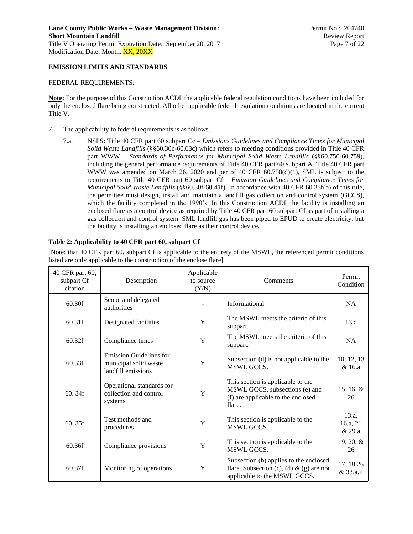26

26

#### **EMISSION LIMITS AND STANDARDS**

#### FEDERAL REQUIREMENTS:

**Note:** For the purpose of this Construction ACDP the applicable federal regulation conditions have been included for only the enclosed flare being constructed. All other applicable federal regulation conditions are located in the current Title V.

- 7. The applicability to federal requirements is as follows.
	- 7.a. NSPS: Title 40 CFR part 60 subpart Cc *Emissions Guidelines and Compliance Times for Municipal Solid Waste Landfills* (§§60.30c-60.63c) which refers to meeting conditions provided in Title 40 CFR part WWW – *Standards of Performance for Municipal Solid Waste Landfills* (§§60.750-60.759), including the general performance requirements of Title 40 CFR part 60 subpart A. Title 40 CFR part WWW was amended on March 26, 2020 and per of 40 CFR 60.750(d)(1), SML is subject to the requirements to Title 40 CFR part 60 subpart Cf – *Emission Guidelines and Compliance Times for Municipal Solid Waste Landfills* (§§60.30f-60.41f). In accordance with 40 CFR 60.33f(b) of this rule, the permittee must design, install and maintain a landfill gas collection and control system (GCCS), which the facility completed in the 1990's. In this Construction ACDP the facility is installing an enclosed flare as a control device as required by Title 40 CFR part 60 subpart Cf as part of installing a gas collection and control system. SML landfill gas has been piped to EPUD to create electricity, but the facility is installing an enclosed flare as their control device.

#### 40 CFR part 60, subpart Cf citation Description Applicable to source  $(Y/N)$ Comments Permit Condition 60.30f Scope and delegated<br>authorities scope and delegated authorities and  $\blacksquare$  authorities and  $\blacksquare$  and  $\blacksquare$  and  $\blacksquare$  and  $\blacksquare$  and  $\blacksquare$  and  $\blacksquare$  and  $\blacksquare$  and  $\blacksquare$  and  $\blacksquare$  and  $\blacksquare$  and  $\blacksquare$  and  $\blacksquare$  and  $\blacksquare$  and  $\blacksquare$  and  $\blacksquare$  an 60.31f Designated facilities Y The MSWL meets the criteria of this <br>subpart. 13.a 60.32f Compliance times Y The MSWL meets the criteria of this NA 60.33f Emission Guidelines for municipal solid waste landfill emissions Y Subsection (d) is not applicable to the MSWL GCCS. 10, 12, 13 & 16.a 60. 34f Operational standards for collection and control systems Y This section is applicable to the MSWL GCCS, subsections (e) and (f) are applicable to the enclosed flare. 15, 16, & 60. 35f Fest methods and procedures  $Y$ This section is applicable to the MSWL GCCS. 13.a, 16.a, 21 & 29.a 60.36f Compliance provisions Y This section is applicable to the MSWL GCCS. 19, 20, & 60.37f Monitoring of operations Y Subsection (b) applies to the enclosed flare. Subsection (c), (d)  $\&$  (g) are not applicable to the MSWL GCCS. 17, 18 26 & 33.a.ii

#### **Table 2: Applicability to 40 CFR part 60, subpart Cf**

[Note: that 40 CFR part 60, subpart Cf is applicable to the entirety of the MSWL, the referenced permit conditions listed are only applicable to the construction of the enclose flare]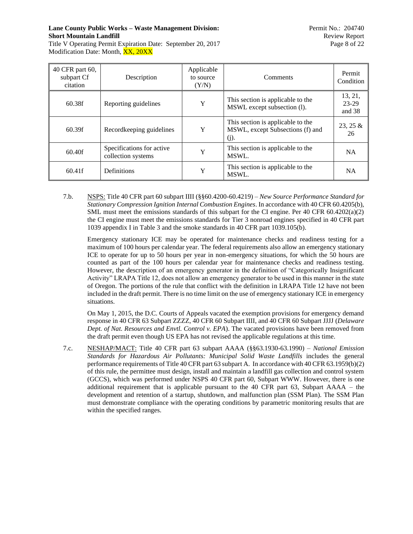## **Lane County Public Works – Waste Management Division:** Permit No.: 204740 **Short Mountain Landfill Review Report Review Report Review Report**

Title V Operating Permit Expiration Date: September 20, 2017 Page 8 of 22 Modification Date: Month, XX, 20XX

| 40 CFR part 60,<br>subpart Cf<br>citation | Description                                     | Applicable<br>to source<br>(Y/N) | Comments                                                                      | Permit<br>Condition          |
|-------------------------------------------|-------------------------------------------------|----------------------------------|-------------------------------------------------------------------------------|------------------------------|
| 60.38f                                    | Reporting guidelines                            | Y                                | This section is applicable to the<br>MSWL except subsection (1).              | 13, 21,<br>$23-29$<br>and 38 |
| 60.39f                                    | Recordkeeping guidelines                        | Y                                | This section is applicable to the<br>MSWL, except Subsections (f) and<br>(j). | $23, 25 \&$<br>26            |
| 60.40f                                    | Specifications for active<br>collection systems | Y                                | This section is applicable to the<br>MSWL.                                    | <b>NA</b>                    |
| 60.41f                                    | Definitions                                     | Y                                | This section is applicable to the<br>MSWL.                                    | <b>NA</b>                    |

7.b. NSPS: Title 40 CFR part 60 subpart IIII (§§60.4200-60.4219) – *New Source Performance Standard for Stationary Compression Ignition Internal Combustion Engines*. In accordance with 40 CFR 60.4205(b), SML must meet the emissions standards of this subpart for the CI engine. Per 40 CFR 60.4202(a)(2) the CI engine must meet the emissions standards for Tier 3 nonroad engines specified in 40 CFR part 1039 appendix I in Table 3 and the smoke standards in 40 CFR part 1039.105(b).

Emergency stationary ICE may be operated for maintenance checks and readiness testing for a maximum of 100 hours per calendar year. The federal requirements also allow an emergency stationary ICE to operate for up to 50 hours per year in non-emergency situations, for which the 50 hours are counted as part of the 100 hours per calendar year for maintenance checks and readiness testing. However, the description of an emergency generator in the definition of "Categorically Insignificant Activity" LRAPA Title 12, does not allow an emergency generator to be used in this manner in the state of Oregon. The portions of the rule that conflict with the definition in LRAPA Title 12 have not been included in the draft permit. There is no time limit on the use of emergency stationary ICE in emergency situations.

On May 1, 2015, the D.C. Courts of Appeals vacated the exemption provisions for emergency demand response in 40 CFR 63 Subpart ZZZZ, 40 CFR 60 Subpart IIII, and 40 CFR 60 Subpart JJJJ (*Delaware Dept. of Nat. Resources and Envtl. Control v. EPA*). The vacated provisions have been removed from the draft permit even though US EPA has not revised the applicable regulations at this time.

7.c. NESHAP/MACT: Title 40 CFR part 63 subpart AAAA (§§63.1930-63.1990) – *National Emission Standards for Hazardous Air Pollutants: Municipal Solid Waste Landfills* includes the general performance requirements of Title 40 CFR part 63 subpart A. In accordance with 40 CFR 63.1959(b)(2) of this rule, the permittee must design, install and maintain a landfill gas collection and control system (GCCS), which was performed under NSPS 40 CFR part 60, Subpart WWW. However, there is one additional requirement that is applicable pursuant to the 40 CFR part 63, Subpart AAAA – the development and retention of a startup, shutdown, and malfunction plan (SSM Plan). The SSM Plan must demonstrate compliance with the operating conditions by parametric monitoring results that are within the specified ranges.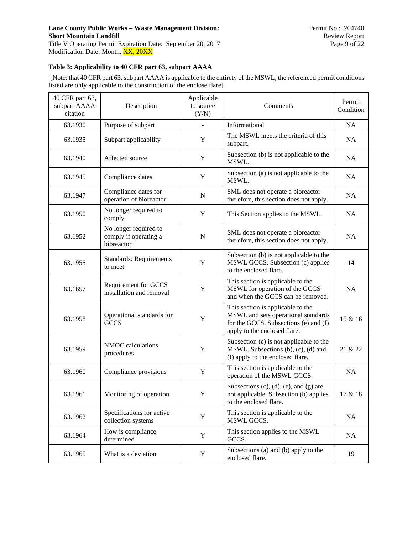## **Lane County Public Works – Waste Management Division:** Permit No.: 204740 **Short Mountain Landfill Review Report Review Report**

Title V Operating Permit Expiration Date: September 20, 2017 Page 9 of 22 Modification Date: Month, XX, 20XX

## **Table 3: Applicability to 40 CFR part 63, subpart AAAA**

[Note: that 40 CFR part 63, subpart AAAA is applicable to the entirety of the MSWL, the referenced permit conditions listed are only applicable to the construction of the enclose flare]

| 40 CFR part 63,<br>subpart AAAA<br>citation | Description                                                  | Applicable<br>to source<br>(Y/N) | Comments                                                                                                                                          | Permit<br>Condition |
|---------------------------------------------|--------------------------------------------------------------|----------------------------------|---------------------------------------------------------------------------------------------------------------------------------------------------|---------------------|
| 63.1930                                     | Purpose of subpart                                           |                                  | Informational                                                                                                                                     | <b>NA</b>           |
| 63.1935                                     | Subpart applicability                                        | Y                                | The MSWL meets the criteria of this<br>subpart.                                                                                                   | <b>NA</b>           |
| 63.1940                                     | Affected source                                              | Y                                | Subsection (b) is not applicable to the<br>MSWL.                                                                                                  | <b>NA</b>           |
| 63.1945                                     | Compliance dates                                             | Y                                | Subsection (a) is not applicable to the<br>MSWL.                                                                                                  | <b>NA</b>           |
| 63.1947                                     | Compliance dates for<br>operation of bioreactor              | N                                | SML does not operate a bioreactor<br>therefore, this section does not apply.                                                                      | NA                  |
| 63.1950                                     | No longer required to<br>comply                              | $\mathbf Y$                      | This Section applies to the MSWL.                                                                                                                 | <b>NA</b>           |
| 63.1952                                     | No longer required to<br>comply if operating a<br>bioreactor | $\mathbf N$                      | SML does not operate a bioreactor<br>therefore, this section does not apply.                                                                      | <b>NA</b>           |
| 63.1955                                     | <b>Standards: Requirements</b><br>to meet                    | Y                                | Subsection (b) is not applicable to the<br>MSWL GCCS. Subsection (c) applies<br>to the enclosed flare.                                            | 14                  |
| 63.1657                                     | Requirement for GCCS<br>installation and removal             | Y                                | This section is applicable to the<br>MSWL for operation of the GCCS<br>and when the GCCS can be removed.                                          | NA                  |
| 63.1958                                     | Operational standards for<br>GCCS                            | Y                                | This section is applicable to the<br>MSWL and sets operational standards<br>for the GCCS. Subsections (e) and (f)<br>apply to the enclosed flare. | 15 & 16             |
| 63.1959                                     | NMOC calculations<br>procedures                              | Y                                | Subsection (e) is not applicable to the<br>MSWL. Subsections (b), (c), (d) and<br>(f) apply to the enclosed flare.                                | 21 & 22             |
| 63.1960                                     | Compliance provisions                                        | Y                                | This section is applicable to the<br>operation of the MSWL GCCS.                                                                                  | NA                  |
| 63.1961                                     | Monitoring of operation                                      | Y                                | Subsections $(c)$ , $(d)$ , $(e)$ , and $(g)$ are<br>not applicable. Subsection (b) applies<br>to the enclosed flare.                             | 17 & 18             |
| 63.1962                                     | Specifications for active<br>collection systems              | Y                                | This section is applicable to the<br>MSWL GCCS.                                                                                                   | <b>NA</b>           |
| 63.1964                                     | How is compliance<br>determined                              | $\mathbf Y$                      | This section applies to the MSWL<br>GCCS.                                                                                                         | <b>NA</b>           |
| 63.1965                                     | What is a deviation                                          | Y                                | Subsections (a) and (b) apply to the<br>enclosed flare.                                                                                           | 19                  |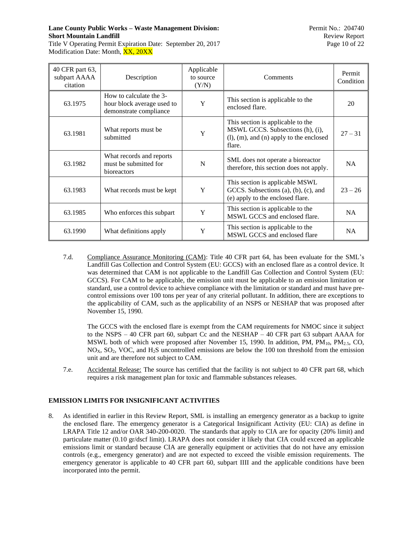## **Lane County Public Works – Waste Management Division:** Permit No.: 204740 **Short Mountain Landfill Review Report Review Report Review Report Review Report**

Title V Operating Permit Expiration Date: September 20, 2017 Page 10 of 22 Modification Date: Month, XX, 20XX

| 40 CFR part 63,<br>subpart AAAA<br>citation | Description                                                                     | Applicable<br>to source<br>(Y/N) | Comments                                                                                                                           | Permit<br>Condition |
|---------------------------------------------|---------------------------------------------------------------------------------|----------------------------------|------------------------------------------------------------------------------------------------------------------------------------|---------------------|
| 63.1975                                     | How to calculate the 3-<br>hour block average used to<br>demonstrate compliance | Y                                | This section is applicable to the<br>enclosed flare.                                                                               | 20                  |
| 63.1981                                     | What reports must be<br>submitted                                               | Y                                | This section is applicable to the<br>MSWL GCCS. Subsections (h), (i),<br>$(l)$ , $(m)$ , and $(n)$ apply to the enclosed<br>flare. | $27 - 31$           |
| 63.1982                                     | What records and reports<br>must be submitted for<br>bioreactors                | N                                | SML does not operate a bioreactor<br>therefore, this section does not apply.                                                       | NA                  |
| 63.1983                                     | What records must be kept                                                       | Y                                | This section is applicable MSWL<br>GCCS. Subsections (a), (b), (c), and<br>(e) apply to the enclosed flare.                        | $23 - 26$           |
| 63.1985                                     | Who enforces this subpart                                                       | Y                                | This section is applicable to the<br>MSWL GCCS and enclosed flare.                                                                 | NA                  |
| 63.1990                                     | What definitions apply                                                          | Y                                | This section is applicable to the<br>MSWL GCCS and enclosed flare                                                                  | <b>NA</b>           |

7.d. Compliance Assurance Monitoring (CAM): Title 40 CFR part 64, has been evaluate for the SML's Landfill Gas Collection and Control System (EU: GCCS) with an enclosed flare as a control device. It was determined that CAM is not applicable to the Landfill Gas Collection and Control System (EU: GCCS). For CAM to be applicable, the emission unit must be applicable to an emission limitation or standard, use a control device to achieve compliance with the limitation or standard and must have precontrol emissions over 100 tons per year of any criterial pollutant. In addition, there are exceptions to the applicability of CAM, such as the applicability of an NSPS or NESHAP that was proposed after November 15, 1990.

The GCCS with the enclosed flare is exempt from the CAM requirements for NMOC since it subject to the NSPS – 40 CFR part 60, subpart Cc and the NESHAP – 40 CFR part 63 subpart AAAA for MSWL both of which were proposed after November 15, 1990. In addition, PM,  $PM_{10}$ , PM<sub>2.5</sub>, CO,  $NO<sub>X</sub>$ , SO<sub>2</sub>, VOC, and H<sub>2</sub>S uncontrolled emissions are below the 100 ton threshold from the emission unit and are therefore not subject to CAM.

7.e. Accidental Release: The source has certified that the facility is not subject to 40 CFR part 68, which requires a risk management plan for toxic and flammable substances releases.

## **EMISSION LIMITS FOR INSIGNIFICANT ACTIVITIES**

8. As identified in earlier in this Review Report, SML is installing an emergency generator as a backup to ignite the enclosed flare. The emergency generator is a Categorical Insignificant Activity (EU: CIA) as define in LRAPA Title 12 and/or OAR 340-200-0020. The standards that apply to CIA are for opacity (20% limit) and particulate matter (0.10 gr/dscf limit). LRAPA does not consider it likely that CIA could exceed an applicable emissions limit or standard because CIA are generally equipment or activities that do not have any emission controls (e.g., emergency generator) and are not expected to exceed the visible emission requirements. The emergency generator is applicable to 40 CFR part 60, subpart IIII and the applicable conditions have been incorporated into the permit.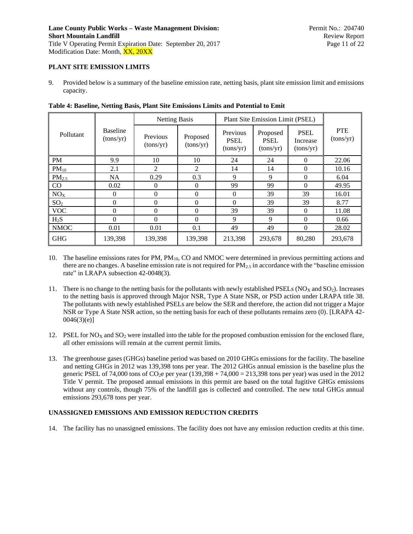#### **PLANT SITE EMISSION LIMITS**

9. Provided below is a summary of the baseline emission rate, netting basis, plant site emission limit and emissions capacity.

|                   |                              | <b>Netting Basis</b>  |                       | Plant Site Emission Limit (PSEL)     |                                      |                                      |                         |
|-------------------|------------------------------|-----------------------|-----------------------|--------------------------------------|--------------------------------------|--------------------------------------|-------------------------|
| Pollutant         | <b>Baseline</b><br>(tons/yr) | Previous<br>(tons/yr) | Proposed<br>(tons/yr) | Previous<br><b>PSEL</b><br>(tons/yr) | Proposed<br><b>PSEL</b><br>(tons/yr) | <b>PSEL</b><br>Increase<br>(tons/yr) | <b>PTE</b><br>(tons/yr) |
| <b>PM</b>         | 9.9                          | 10                    | 10                    | 24                                   | 24                                   | $\Omega$                             | 22.06                   |
| $PM_{10}$         | 2.1                          | 2                     | $\overline{2}$        | 14                                   | 14                                   | $\Omega$                             | 10.16                   |
| PM <sub>2.5</sub> | <b>NA</b>                    | 0.29                  | 0.3                   | 9                                    | 9                                    | $\Omega$                             | 6.04                    |
| CO                | 0.02                         | $\Omega$              | $\Omega$              | 99                                   | 99                                   | $\Omega$                             | 49.95                   |
| NO <sub>X</sub>   | $\Omega$                     | $\Omega$              | $\Omega$              | $\Omega$                             | 39                                   | 39                                   | 16.01                   |
| SO <sub>2</sub>   | $\Omega$                     | $\Omega$              | $\Omega$              | $\Omega$                             | 39                                   | 39                                   | 8.77                    |
| <b>VOC</b>        | $\Omega$                     | $\Omega$              | $\Omega$              | 39                                   | 39                                   | $\Omega$                             | 11.08                   |
| $H_2S$            | $\Omega$                     | $\Omega$              | $\Omega$              | 9                                    | 9                                    | $\Omega$                             | 0.66                    |
| <b>NMOC</b>       | 0.01                         | 0.01                  | 0.1                   | 49                                   | 49                                   | $\theta$                             | 28.02                   |
| <b>GHG</b>        | 139,398                      | 139,398               | 139,398               | 213,398                              | 293,678                              | 80,280                               | 293,678                 |

**Table 4: Baseline, Netting Basis, Plant Site Emissions Limits and Potential to Emit**

- 10. The baseline emissions rates for PM, PM10, CO and NMOC were determined in previous permitting actions and there are no changes. A baseline emission rate is not required for PM2.5 in accordance with the "baseline emission rate" in LRAPA subsection 42-0048(3).
- 11. There is no change to the netting basis for the pollutants with newly established PSELs ( $NO<sub>X</sub>$  and  $SO<sub>2</sub>$ ). Increases to the netting basis is approved through Major NSR, Type A State NSR, or PSD action under LRAPA title 38. The pollutants with newly established PSELs are below the SER and therefore, the action did not trigger a Major NSR or Type A State NSR action, so the netting basis for each of these pollutants remains zero (0). [LRAPA 42-  $0046(3)(e)$ ]
- 12. PSEL for  $NO<sub>X</sub>$  and  $SO<sub>2</sub>$  were installed into the table for the proposed combustion emission for the enclosed flare, all other emissions will remain at the current permit limits.
- 13. The greenhouse gases (GHGs) baseline period was based on 2010 GHGs emissions for the facility. The baseline and netting GHGs in 2012 was 139,398 tons per year. The 2012 GHGs annual emission is the baseline plus the generic PSEL of 74,000 tons of  $CO<sub>2</sub>e$  per year (139,398 + 74,000 = 213,398 tons per year) was used in the 2012 Title V permit. The proposed annual emissions in this permit are based on the total fugitive GHGs emissions without any controls, though 75% of the landfill gas is collected and controlled. The new total GHGs annual emissions 293,678 tons per year.

#### **UNASSIGNED EMISSIONS AND EMISSION REDUCTION CREDITS**

14. The facility has no unassigned emissions. The facility does not have any emission reduction credits at this time.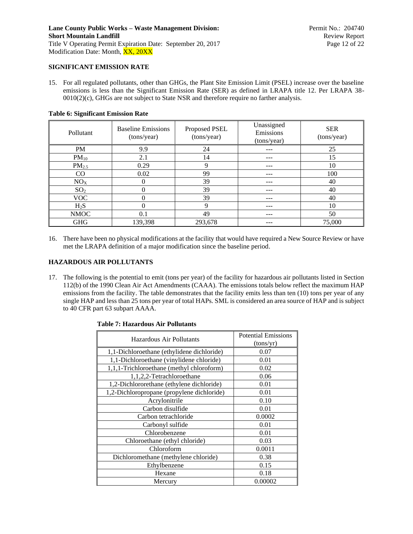#### **SIGNIFICANT EMISSION RATE**

15. For all regulated pollutants, other than GHGs, the Plant Site Emission Limit (PSEL) increase over the baseline emissions is less than the Significant Emission Rate (SER) as defined in LRAPA title 12. Per LRAPA 38-  $0010(2)(c)$ , GHGs are not subject to State NSR and therefore require no farther analysis.

| <b>Table 6: Significant Emission Rate</b> |  |
|-------------------------------------------|--|
|-------------------------------------------|--|

| Pollutant       | <b>Baseline Emissions</b><br>(tons/year) | Proposed PSEL<br>(tons/year) | Unassigned<br>Emissions<br>(tons/year) | <b>SER</b><br>(tons/year) |
|-----------------|------------------------------------------|------------------------------|----------------------------------------|---------------------------|
| <b>PM</b>       | 9.9                                      | 24                           | ---                                    | 25                        |
| $PM_{10}$       | 2.1                                      | 14                           | ---                                    | 15                        |
| $PM_{2.5}$      | 0.29                                     | Q                            | ---                                    | 10                        |
| CO              | 0.02                                     | 99                           | ---                                    | 100                       |
| NO <sub>X</sub> | 0                                        | 39                           | ---                                    | 40                        |
| SO <sub>2</sub> | 0                                        | 39                           | ---                                    | 40                        |
| VOC             | $\theta$                                 | 39                           | ---                                    | 40                        |
| $H_2S$          | $\Omega$                                 | 9                            | ---                                    | 10                        |
| <b>NMOC</b>     | 0.1                                      | 49                           | ---                                    | 50                        |
| <b>GHG</b>      | 139,398                                  | 293,678                      | ---                                    | 75,000                    |

16. There have been no physical modifications at the facility that would have required a New Source Review or have met the LRAPA definition of a major modification since the baseline period.

#### **HAZARDOUS AIR POLLUTANTS**

17. The following is the potential to emit (tons per year) of the facility for hazardous air pollutants listed in Section 112(b) of the 1990 Clean Air Act Amendments (CAAA). The emissions totals below reflect the maximum HAP emissions from the facility. The table demonstrates that the facility emits less than ten (10) tons per year of any single HAP and less than 25 tons per year of total HAPs. SML is considered an area source of HAP and is subject to 40 CFR part 63 subpart AAAA.

| Hazardous Air Pollutants                   | <b>Potential Emissions</b><br>(tons/yr) |
|--------------------------------------------|-----------------------------------------|
| 1,1-Dichloroethane (ethylidene dichloride) | 0.07                                    |
| 1,1-Dichloroethane (vinylidene chloride)   | 0.01                                    |
| 1,1,1-Trichloroethane (methyl chloroform)  | 0.02                                    |
| 1,1,2,2-Tetrachloroethane                  | 0.06                                    |
| 1,2-Dichlororethane (ethylene dichloride)  | 0.01                                    |
| 1,2-Dichloropropane (propylene dichloride) | 0.01                                    |
| Acrylonitrile                              | 0.10                                    |
| Carbon disulfide                           | 0.01                                    |
| Carbon tetrachloride                       | 0.0002                                  |
| Carbonyl sulfide                           | 0.01                                    |
| Chlorobenzene                              | 0.01                                    |
| Chloroethane (ethyl chloride)              | 0.03                                    |
| Chloroform                                 | 0.0011                                  |
| Dichloromethane (methylene chloride)       | 0.38                                    |
| Ethylbenzene                               | 0.15                                    |
| Hexane                                     | 0.18                                    |
| Mercury                                    | 0.00002                                 |

|  | <b>Table 7: Hazardous Air Pollutants</b> |
|--|------------------------------------------|
|--|------------------------------------------|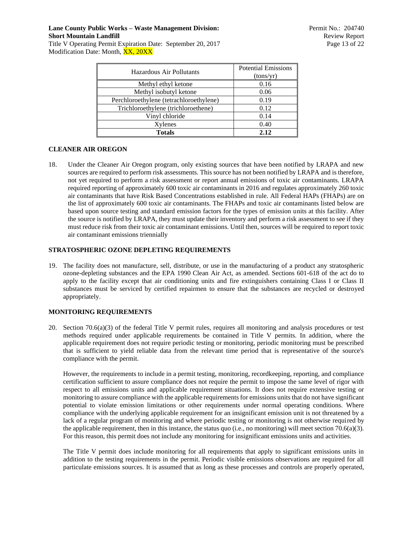## **Lane County Public Works – Waste Management Division:** Permit No.: 204740 **Short Mountain Landfill Review Report Review Report Review Report Review Report**

Title V Operating Permit Expiration Date: September 20, 2017 Page 13 of 22 Modification Date: Month, XX, 20XX

| Hazardous Air Pollutants                | <b>Potential Emissions</b><br>(tons/yr) |
|-----------------------------------------|-----------------------------------------|
| Methyl ethyl ketone                     | 0.16                                    |
| Methyl isobutyl ketone                  | 0.06                                    |
| Perchloroethylene (tetrachloroethylene) | 0.19                                    |
| Trichloroethylene (trichloroethene)     | 0.12                                    |
| Vinyl chloride                          | 0.14                                    |
| Xylenes                                 | 0.40                                    |
| <b>Totals</b>                           | 2.12                                    |

#### **CLEANER AIR OREGON**

18. Under the Cleaner Air Oregon program, only existing sources that have been notified by LRAPA and new sources are required to perform risk assessments. This source has not been notified by LRAPA and is therefore, not yet required to perform a risk assessment or report annual emissions of toxic air contaminants. LRAPA required reporting of approximately 600 toxic air contaminants in 2016 and regulates approximately 260 toxic air contaminants that have Risk Based Concentrations established in rule. All Federal HAPs (FHAPs) are on the list of approximately 600 toxic air contaminants. The FHAPs and toxic air contaminants listed below are based upon source testing and standard emission factors for the types of emission units at this facility. After the source is notified by LRAPA, they must update their inventory and perform a risk assessment to see if they must reduce risk from their toxic air contaminant emissions. Until then, sources will be required to report toxic air contaminant emissions triennially

#### **STRATOSPHERIC OZONE DEPLETING REQUIREMENTS**

19. The facility does not manufacture, sell, distribute, or use in the manufacturing of a product any stratospheric ozone-depleting substances and the EPA 1990 Clean Air Act, as amended. Sections 601-618 of the act do to apply to the facility except that air conditioning units and fire extinguishers containing Class I or Class II substances must be serviced by certified repairmen to ensure that the substances are recycled or destroyed appropriately.

### **MONITORING REQUIREMENTS**

20. Section 70.6(a)(3) of the federal Title V permit rules, requires all monitoring and analysis procedures or test methods required under applicable requirements be contained in Title V permits. In addition, where the applicable requirement does not require periodic testing or monitoring, periodic monitoring must be prescribed that is sufficient to yield reliable data from the relevant time period that is representative of the source's compliance with the permit.

However, the requirements to include in a permit testing, monitoring, recordkeeping, reporting, and compliance certification sufficient to assure compliance does not require the permit to impose the same level of rigor with respect to all emissions units and applicable requirement situations. It does not require extensive testing or monitoring to assure compliance with the applicable requirements for emissions units that do not have significant potential to violate emission limitations or other requirements under normal operating conditions. Where compliance with the underlying applicable requirement for an insignificant emission unit is not threatened by a lack of a regular program of monitoring and where periodic testing or monitoring is not otherwise required by the applicable requirement, then in this instance, the status quo (i.e., no monitoring) will meet section 70.6(a)(3). For this reason, this permit does not include any monitoring for insignificant emissions units and activities.

The Title V permit does include monitoring for all requirements that apply to significant emissions units in addition to the testing requirements in the permit. Periodic visible emissions observations are required for all particulate emissions sources. It is assumed that as long as these processes and controls are properly operated,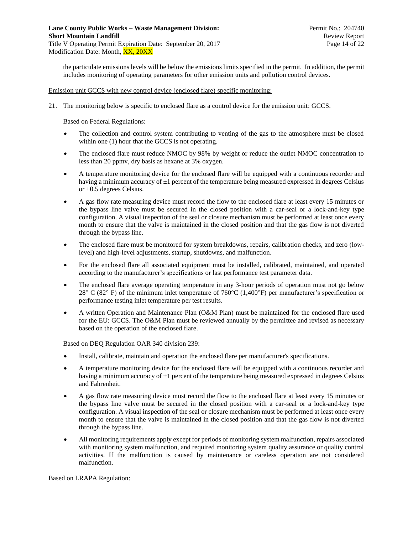the particulate emissions levels will be below the emissions limits specified in the permit. In addition, the permit includes monitoring of operating parameters for other emission units and pollution control devices.

Emission unit GCCS with new control device (enclosed flare) specific monitoring:

21. The monitoring below is specific to enclosed flare as a control device for the emission unit: GCCS.

Based on Federal Regulations:

- The collection and control system contributing to venting of the gas to the atmosphere must be closed within one (1) hour that the GCCS is not operating.
- The enclosed flare must reduce NMOC by 98% by weight or reduce the outlet NMOC concentration to less than 20 ppmv, dry basis as hexane at 3% oxygen.
- A temperature monitoring device for the enclosed flare will be equipped with a continuous recorder and having a minimum accuracy of  $\pm 1$  percent of the temperature being measured expressed in degrees Celsius or ±0.5 degrees Celsius.
- A gas flow rate measuring device must record the flow to the enclosed flare at least every 15 minutes or the bypass line valve must be secured in the closed position with a car-seal or a lock-and-key type configuration. A visual inspection of the seal or closure mechanism must be performed at least once every month to ensure that the valve is maintained in the closed position and that the gas flow is not diverted through the bypass line.
- The enclosed flare must be monitored for system breakdowns, repairs, calibration checks, and zero (lowlevel) and high-level adjustments, startup, shutdowns, and malfunction.
- For the enclosed flare all associated equipment must be installed, calibrated, maintained, and operated according to the manufacturer's specifications or last performance test parameter data.
- The enclosed flare average operating temperature in any 3-hour periods of operation must not go below 28° C (82° F) of the minimum inlet temperature of 760°C (1,400°F) per manufacturer's specification or performance testing inlet temperature per test results.
- A written Operation and Maintenance Plan (O&M Plan) must be maintained for the enclosed flare used for the EU: GCCS. The O&M Plan must be reviewed annually by the permittee and revised as necessary based on the operation of the enclosed flare.

Based on DEQ Regulation OAR 340 division 239:

- Install, calibrate, maintain and operation the enclosed flare per manufacturer's specifications.
- A temperature monitoring device for the enclosed flare will be equipped with a continuous recorder and having a minimum accuracy of  $\pm 1$  percent of the temperature being measured expressed in degrees Celsius and Fahrenheit.
- A gas flow rate measuring device must record the flow to the enclosed flare at least every 15 minutes or the bypass line valve must be secured in the closed position with a car-seal or a lock-and-key type configuration. A visual inspection of the seal or closure mechanism must be performed at least once every month to ensure that the valve is maintained in the closed position and that the gas flow is not diverted through the bypass line.
- All monitoring requirements apply except for periods of monitoring system malfunction, repairs associated with monitoring system malfunction, and required monitoring system quality assurance or quality control activities. If the malfunction is caused by maintenance or careless operation are not considered malfunction.

Based on LRAPA Regulation: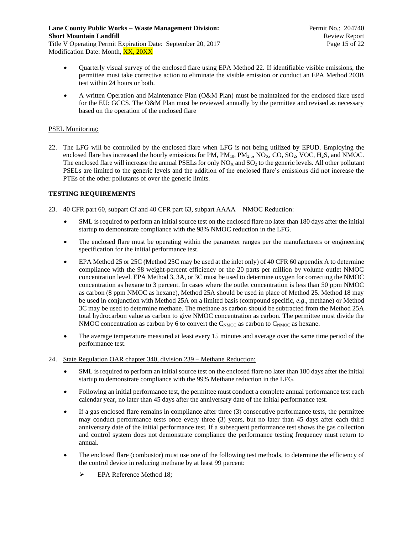- Modification Date: Month, XX, 20XX
	- Quarterly visual survey of the enclosed flare using EPA Method 22. If identifiable visible emissions, the permittee must take corrective action to eliminate the visible emission or conduct an EPA Method 203B test within 24 hours or both.
	- A written Operation and Maintenance Plan (O&M Plan) must be maintained for the enclosed flare used for the EU: GCCS. The O&M Plan must be reviewed annually by the permittee and revised as necessary based on the operation of the enclosed flare

### PSEL Monitoring:

22. The LFG will be controlled by the enclosed flare when LFG is not being utilized by EPUD. Employing the enclosed flare has increased the hourly emissions for PM,  $PM_{10}$ ,  $PM_{2.5}$ , NO<sub>X</sub>, CO, SO<sub>2</sub>, VOC, H<sub>2</sub>S, and NMOC. The enclosed flare will increase the annual PSELs for only  $NO<sub>X</sub>$  and  $SO<sub>2</sub>$  to the generic levels. All other pollutant PSELs are limited to the generic levels and the addition of the enclosed flare's emissions did not increase the PTEs of the other pollutants of over the generic limits.

## **TESTING REQUIREMENTS**

- 23. 40 CFR part 60, subpart Cf and 40 CFR part 63, subpart AAAA NMOC Reduction:
	- SML is required to perform an initial source test on the enclosed flare no later than 180 days after the initial startup to demonstrate compliance with the 98% NMOC reduction in the LFG.
	- The enclosed flare must be operating within the parameter ranges per the manufacturers or engineering specification for the initial performance test.
	- EPA Method 25 or 25C (Method 25C may be used at the inlet only) of 40 CFR 60 appendix A to determine compliance with the 98 weight-percent efficiency or the 20 parts per million by volume outlet NMOC concentration level. EPA Method 3, 3A, or 3C must be used to determine oxygen for correcting the NMOC concentration as hexane to 3 percent. In cases where the outlet concentration is less than 50 ppm NMOC as carbon (8 ppm NMOC as hexane), Method 25A should be used in place of Method 25. Method 18 may be used in conjunction with Method 25A on a limited basis (compound specific, *e.g*., methane) or Method 3C may be used to determine methane. The methane as carbon should be subtracted from the Method 25A total hydrocarbon value as carbon to give NMOC concentration as carbon. The permittee must divide the NMOC concentration as carbon by 6 to convert the  $C_{\text{NMOC}}$  as carbon to  $C_{\text{NMOC}}$  as hexane.
	- The average temperature measured at least every 15 minutes and average over the same time period of the performance test.
- 24. State Regulation OAR chapter 340, division 239 Methane Reduction:
	- SML is required to perform an initial source test on the enclosed flare no later than 180 days after the initial startup to demonstrate compliance with the 99% Methane reduction in the LFG.
	- Following an initial performance test, the permittee must conduct a complete annual performance test each calendar year, no later than 45 days after the anniversary date of the initial performance test.
	- If a gas enclosed flare remains in compliance after three (3) consecutive performance tests, the permittee may conduct performance tests once every three (3) years, but no later than 45 days after each third anniversary date of the initial performance test. If a subsequent performance test shows the gas collection and control system does not demonstrate compliance the performance testing frequency must return to annual.
	- The enclosed flare (combustor) must use one of the following test methods, to determine the efficiency of the control device in reducing methane by at least 99 percent:
		- ➢ EPA Reference Method 18;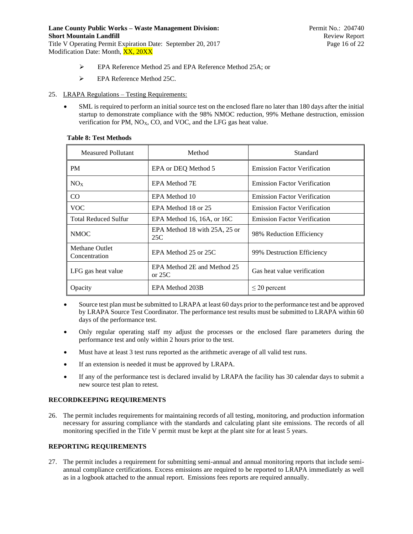Title V Operating Permit Expiration Date: September 20, 2017 Page 16 of 22 Modification Date: Month, XX, 20XX

- ➢ EPA Reference Method 25 and EPA Reference Method 25A; or
- ➢ EPA Reference Method 25C.
- 25. LRAPA Regulations Testing Requirements:
	- SML is required to perform an initial source test on the enclosed flare no later than 180 days after the initial startup to demonstrate compliance with the 98% NMOC reduction, 99% Methane destruction, emission verification for PM,  $NO<sub>X</sub>$ , CO, and VOC, and the LFG gas heat value.

| <b>Measured Pollutant</b>       | Method                                  | Standard                            |
|---------------------------------|-----------------------------------------|-------------------------------------|
| PM                              | EPA or DEQ Method 5                     | <b>Emission Factor Verification</b> |
| NO <sub>x</sub>                 | EPA Method 7E                           | <b>Emission Factor Verification</b> |
| CO                              | EPA Method 10                           | <b>Emission Factor Verification</b> |
| <b>VOC</b>                      | EPA Method 18 or 25                     | <b>Emission Factor Verification</b> |
| <b>Total Reduced Sulfur</b>     | EPA Method 16, 16A, or $16C$            | <b>Emission Factor Verification</b> |
| <b>NMOC</b>                     | EPA Method 18 with 25A, 25 or<br>25C    | 98% Reduction Efficiency            |
| Methane Outlet<br>Concentration | EPA Method 25 or 25C                    | 99% Destruction Efficiency          |
| LFG gas heat value              | EPA Method 2E and Method 25<br>or $25C$ | Gas heat value verification         |
| Opacity                         | EPA Method 203B                         | $\leq$ 20 percent                   |

#### **Table 8: Test Methods**

- Source test plan must be submitted to LRAPA at least 60 days prior to the performance test and be approved by LRAPA Source Test Coordinator. The performance test results must be submitted to LRAPA within 60 days of the performance test.
- Only regular operating staff my adjust the processes or the enclosed flare parameters during the performance test and only within 2 hours prior to the test.
- Must have at least 3 test runs reported as the arithmetic average of all valid test runs.
- If an extension is needed it must be approved by LRAPA.
- If any of the performance test is declared invalid by LRAPA the facility has 30 calendar days to submit a new source test plan to retest.

### **RECORDKEEPING REQUIREMENTS**

26. The permit includes requirements for maintaining records of all testing, monitoring, and production information necessary for assuring compliance with the standards and calculating plant site emissions. The records of all monitoring specified in the Title V permit must be kept at the plant site for at least 5 years.

#### **REPORTING REQUIREMENTS**

27. The permit includes a requirement for submitting semi-annual and annual monitoring reports that include semiannual compliance certifications. Excess emissions are required to be reported to LRAPA immediately as well as in a logbook attached to the annual report. Emissions fees reports are required annually.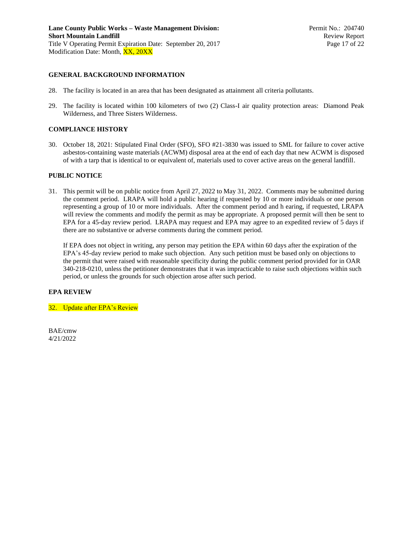#### **GENERAL BACKGROUND INFORMATION**

- 28. The facility is located in an area that has been designated as attainment all criteria pollutants.
- 29. The facility is located within 100 kilometers of two (2) Class-I air quality protection areas: Diamond Peak Wilderness, and Three Sisters Wilderness.

#### **COMPLIANCE HISTORY**

30. October 18, 2021: Stipulated Final Order (SFO), SFO #21-3830 was issued to SML for failure to cover active asbestos-containing waste materials (ACWM) disposal area at the end of each day that new ACWM is disposed of with a tarp that is identical to or equivalent of, materials used to cover active areas on the general landfill.

#### **PUBLIC NOTICE**

31. This permit will be on public notice from April 27, 2022 to May 31, 2022. Comments may be submitted during the comment period. LRAPA will hold a public hearing if requested by 10 or more individuals or one person representing a group of 10 or more individuals. After the comment period and h earing, if requested, LRAPA will review the comments and modify the permit as may be appropriate. A proposed permit will then be sent to EPA for a 45-day review period. LRAPA may request and EPA may agree to an expedited review of 5 days if there are no substantive or adverse comments during the comment period.

If EPA does not object in writing, any person may petition the EPA within 60 days after the expiration of the EPA's 45-day review period to make such objection. Any such petition must be based only on objections to the permit that were raised with reasonable specificity during the public comment period provided for in OAR 340-218-0210, unless the petitioner demonstrates that it was impracticable to raise such objections within such period, or unless the grounds for such objection arose after such period.

#### **EPA REVIEW**

#### 32. Update after EPA's Review

BAE/cmw 4/21/2022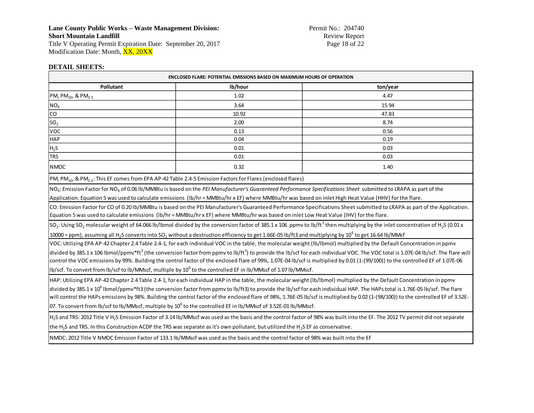# **Lane County Public Works – Waste Management Division:** Permit No.: 204740<br>Short Mountain Landfill Review Report **Short Mountain Landfill**<br>Title V Operating Permit Expiration Date: September 20, 2017<br>Page 18 of 22

Title V Operating Permit Expiration Date: September 20, 2017 Modification Date: Month,  $\overline{XX}$ , 20 $\overline{XX}$ 

## **DETAIL SHEETS:**

| <b>ENCLOSED FLARE: POTENTIAL EMISSIONS BASED ON MAXIMUM HOURS OF OPERATION</b>                                                                                                                                        |         |                                                                                                                                                                                                                |  |
|-----------------------------------------------------------------------------------------------------------------------------------------------------------------------------------------------------------------------|---------|----------------------------------------------------------------------------------------------------------------------------------------------------------------------------------------------------------------|--|
| Pollutant                                                                                                                                                                                                             | lb/hour | ton/year                                                                                                                                                                                                       |  |
| PM, PM <sub>10</sub> , & PM <sub>2.5</sub>                                                                                                                                                                            | 1.02    | 4.47                                                                                                                                                                                                           |  |
| NO <sub>X</sub>                                                                                                                                                                                                       | 3.64    | 15.94                                                                                                                                                                                                          |  |
| co                                                                                                                                                                                                                    | 10.92   | 47.83                                                                                                                                                                                                          |  |
| SO <sub>2</sub>                                                                                                                                                                                                       | 2.00    | 8.74                                                                                                                                                                                                           |  |
| <b>VOC</b>                                                                                                                                                                                                            | 0.13    | 0.56                                                                                                                                                                                                           |  |
| <b>HAP</b>                                                                                                                                                                                                            | 0.04    | 0.19                                                                                                                                                                                                           |  |
| $H_2S$                                                                                                                                                                                                                | 0.01    | 0.03                                                                                                                                                                                                           |  |
| <b>TRS</b>                                                                                                                                                                                                            | 0.01    | 0.03                                                                                                                                                                                                           |  |
| <b>NMOC</b>                                                                                                                                                                                                           | 0.32    | 1.40                                                                                                                                                                                                           |  |
| PM, PM <sub>10</sub> , & PM <sub>2.5</sub> : This EF comes from EPA AP-42 Table 2.4-5 Emission Factors for Flares (enclosed flares)                                                                                   |         |                                                                                                                                                                                                                |  |
|                                                                                                                                                                                                                       |         | NO <sub>x</sub> : Emission Factor for NO <sub>x</sub> of 0.06 lb/MMBtu is based on the PEI Manufacturer's Guaranteed Performance Specifications Sheet submitted to LRAPA as part of the                        |  |
| Application. Equation 5 was used to calculate emissions (Ib/hr = MMBtu/hr x EF) where MMBtu/hr was based on inlet High Heat Value (HHV) for the flare.                                                                |         |                                                                                                                                                                                                                |  |
|                                                                                                                                                                                                                       |         | CO: Emission Factor for CO of 0.20 lb/MMBtu is based on the PEI Manufacturer's Guaranteed Performance Specifications Sheet submitted to LRAPA as part of the Application.                                      |  |
| Equation 5 was used to calculate emissions (Ib/hr = MMBtu/hr x EF) where MMBtu/hr was based on inlet Low Heat Value (IHV) for the flare.                                                                              |         |                                                                                                                                                                                                                |  |
| $ SO_2:$ Using SO <sub>2</sub> molecular weight of 64.066 lb/lbmol divided by the conversion factor of 385.1 x 106 ppmv to lb/ft <sup>3</sup> then multiplying by the inlet concentration of H <sub>2</sub> S (0.01 x |         |                                                                                                                                                                                                                |  |
| $\frac{10000}{2}$ = ppm), assuming all H <sub>2</sub> S converts into SO <sub>2</sub> without a destruction efficiency to get 1.66E-05 lb/ft3 and multiplying by 10 <sup>6</sup> to get 16.64 lb/MMcf                 |         |                                                                                                                                                                                                                |  |
| VOC: Utilizing EPA AP-42 Chapter 2.4 Table 2.4-1, for each individual VOC in the table, the molecular weight (lb/lbmol) multiplied by the Default Concentration in ppmv                                               |         |                                                                                                                                                                                                                |  |
|                                                                                                                                                                                                                       |         | $ $ divided by 385.1 x 106 lbmol/ppmv*ft <sup>3</sup> (the conversion factor from ppmv to lb/ft <sup>3</sup> ) to provide the lb/scf for each individual VOC. The VOC total is 1.07E-04 lb/scf. The flare will |  |
|                                                                                                                                                                                                                       |         | control the VOC emissions by 99%. Building the control factor of the enclosed flare of 99%, 1.07E-04 lb/scf is multiplied by 0.01 (1-(99/100)) to the controlled EF of 1.07E-06                                |  |
| Ib/scf. To convert from Ib/scf to Ib/MMscf, multiple by 10 <sup>6</sup> to the controlled EF in Ib/MMscf of 1.07 lb/MMscf.                                                                                            |         |                                                                                                                                                                                                                |  |
| HAP: Utilizing EPA AP-42 Chapter 2.4 Table 2.4-1, for each individual HAP in the table, the molecular weight (lb/lbmol) multiplied by the Default Concentration in ppmv                                               |         |                                                                                                                                                                                                                |  |
| divided by 385.1 x 10 <sup>6</sup> Ibmol/ppmv*ft3 (the conversion factor from ppmv to lb/ft3) to provide the lb/scf for each individual HAP. The HAPs total is 1.76E-05 lb/scf. The flare                             |         |                                                                                                                                                                                                                |  |
| will control the HAPs emissions by 98%. Building the control factor of the enclosed flare of 98%, 1.76E-05 lb/scf is multiplied by 0.02 (1-(98/100)) to the controlled EF of 3.52E-                                   |         |                                                                                                                                                                                                                |  |
| 07. To convert from lb/scf to lb/MMscf, multiple by $10^6$ to the controlled EF in lb/MMscf of 3.52E-01 lb/MMscf.                                                                                                     |         |                                                                                                                                                                                                                |  |
| H <sub>2</sub> S and TRS: 2012 Title V H <sub>2</sub> S Emission Factor of 3.14 lb/MMscf was used as the basis and the control factor of 98% was built into the EF. The 2012 TV permit did not separate               |         |                                                                                                                                                                                                                |  |
| the H <sub>2</sub> S and TRS. In this Construction ACDP the TRS was separate as it's own pollutant, but utilized the H <sub>2</sub> S EF as conservative.                                                             |         |                                                                                                                                                                                                                |  |
| NMOC: 2012 Title V NMOC Emission Factor of 133.1 lb/MMscf was used as the basis and the control factor of 98% was built into the EF                                                                                   |         |                                                                                                                                                                                                                |  |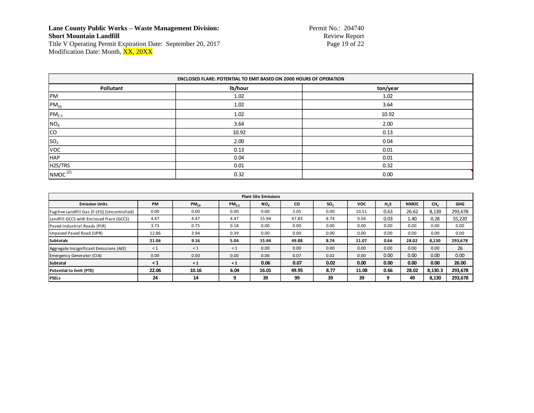### **Lane County Public Works – Waste Management Division Short Mountain Landfill**

Permit No.: 204740<br>Review Report<br>Page 19 of 22

Title V Operating Permit Expiration Date: September 20, 2017 Page 19 of 22 Modification Date: Month, <mark>XX, 20XX</mark>

| ENCLOSED FLARE: POTENTIAL TO EMIT BASED ON 2000 HOURS OF OPERATION |         |          |  |
|--------------------------------------------------------------------|---------|----------|--|
| Pollutant                                                          | lb/hour | ton/year |  |
| PM                                                                 | 1.02    | 1.02     |  |
| $PM_{10}$                                                          | 1.02    | 3.64     |  |
| PM <sub>2.5</sub>                                                  | 1.02    | 10.92    |  |
| NO <sub>X</sub>                                                    | 3.64    | 2.00     |  |
| <sub>co</sub>                                                      | 10.92   | 0.13     |  |
| SO <sub>2</sub>                                                    | 2.00    | 0.04     |  |
| <b>VOC</b>                                                         | 0.13    | 0.01     |  |
| <b>HAP</b>                                                         | 0.04    | 0.01     |  |
| H <sub>2S</sub> /TRS                                               | 0.01    | 0.32     |  |
| $NMOC^{(2)}$                                                       | 0.32    | 0.00     |  |

| <b>Plant Site Emissions</b>                  |          |           |                   |                 |       |                 |            |                  |             |                 |            |
|----------------------------------------------|----------|-----------|-------------------|-----------------|-------|-----------------|------------|------------------|-------------|-----------------|------------|
| <b>Emission Units</b>                        | PM       | $PM_{10}$ | PM <sub>2.5</sub> | NO <sub>x</sub> | CO    | SO <sub>2</sub> | <b>VOC</b> | H <sub>2</sub> S | <b>NMOC</b> | CH <sub>a</sub> | <b>GHG</b> |
| Fugitive Landfill Gas (F-LFG) (Uncontrolled) | 0.00     | 0.00      | 0.00              | 0.00            | 2.05  | 0.00            | 10.51      | 0.63             | 26.62       | 8,130           | 293,678    |
| Landfill GCCS with Enclosed Flare (GCCS)     | 4.47     | 4.47      | 4.47              | 15.94           | 47.83 | 8.74            | 0.56       | 0.03             | 1.40        | 0.28            | 55,220     |
| Paved Industrial Roads (PIR)                 | 3.73     | 0.75      | 0.18              | 0.00            | 0.00  | 0.00            | 0.00       | 0.00             | 0.00        | 0.00            | 0.00       |
| Unpaved Paved Road (UPR)                     | 12.86    | 3.94      | 0.39              | 0.00            | 0.00  | 0.00            | 0.00       | 0.00             | 0.00        | 0.00            | 0.00       |
| <b>Subtotals</b>                             | 21.06    | 9.16      | 5.04              | 15.94           | 49.88 | 8.74            | 11.07      | 0.66             | 28.02       | 8,130           | 293,678    |
| Aggregate Insignificant Emissions (AIE)      | $\leq 1$ | $\leq 1$  | $\leq 1$          | 0.00            | 0.00  | 0.00            | 0.00       | 0.00             | 0.00        | 0.00            | 26         |
| Emergency Generator (CIA)                    | 0.00     | 0.00      | 0.00              | 0.06            | 0.07  | 0.02            | 0.00       | 0.00             | 0.00        | 0.00            | 0.00       |
| Subtotal                                     | $\leq 1$ | $\leq 1$  | $\leq 1$          | 0.06            | 0.07  | 0.02            | 0.00       | 0.00             | 0.00        | 0.00            | 26.00      |
| Potential to Emit (PTE)                      | 22.06    | 10.16     | 6.04              | 16.01           | 49.95 | 8.77            | 11.08      | 0.66             | 28.02       | 8,130.3         | 293,678    |
| <b>PSELs</b>                                 | 24       | 14        | 9                 | 39              | 99    | 39              | 39         | 9                | 49          | 8,130           | 293,678    |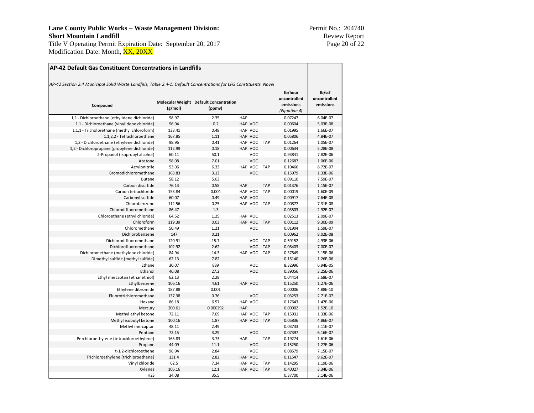#### **Lane County Public Works – Waste Management Division Short Mountain Landfill**

Title V Operating Permit Expiration Date: September 20, 2017 Page 20 of 22 Modification Date: Month, <mark>XX, 20XX</mark>

Permit No.: 204740<br>Review Report<br>Page 20 of 22

|                                              | AP-42 Section 2.4 Municipal Solid Waste Landfills, Table 2.4-1: Default Concentrations for LFG Constituents. Nover |                                                  |            |            |                                                      |                                     |
|----------------------------------------------|--------------------------------------------------------------------------------------------------------------------|--------------------------------------------------|------------|------------|------------------------------------------------------|-------------------------------------|
| Compound                                     | (g/mol)                                                                                                            | Molecular Weight Default Concentration<br>(ppmv) |            |            | lb/hour<br>uncontrolled<br>emissions<br>(Equation 4) | lb/scf<br>uncontrolled<br>emissions |
| 1,1 - Dichloroethane (ethylidene dichloride) | 98.97                                                                                                              | 2.35                                             | HAP        |            | 0.07247                                              | 6.04E-07                            |
| 1,1 - Dichloroethane (vinylidene chloride)   | 96.94                                                                                                              | 0.2                                              | HAP VOC    |            | 0.00604                                              | 5.03E-08                            |
| 1,1,1 - Tricholorethane (methyl chloroform)  | 133.41                                                                                                             | 0.48                                             | HAP VOC    |            | 0.01995                                              | 1.66E-07                            |
| 1,1,2,2 - Tetrachloroethane                  | 167.85                                                                                                             | 1.11                                             | HAP VOC    |            | 0.05806                                              | 4.84E-07                            |
| 1,2 - Dichloroethane (ethylene dichloride)   | 98.96                                                                                                              | 0.41                                             | HAP VOC    | <b>TAP</b> | 0.01264                                              | 1.05E-07                            |
| 1,2 - Dichloropropane (propylene dichloride) | 112.99                                                                                                             | 0.18                                             | HAP VOC    |            | 0.00634                                              | 5.28E-08                            |
| 2-Propanol (isopropyl alcohol)               | 60.11                                                                                                              | 50.1                                             | VOC        |            | 0.93841                                              | 7.82E-06                            |
| Acetone                                      | 58.08                                                                                                              | 7.01                                             | <b>VOC</b> |            | 0.12687                                              | 1.06E-06                            |
| Acrylonitrile                                | 53.06                                                                                                              | 6.33                                             | HAP VOC    | <b>TAP</b> | 0.10466                                              | 8.72E-07                            |
| Bromodichloromethane                         | 163.83                                                                                                             | 3.13                                             | <b>VOC</b> |            | 0.15979                                              | 1.33E-06                            |
| <b>Butane</b>                                | 58.12                                                                                                              | 5.03                                             |            |            | 0.09110                                              | 7.59E-07                            |
| Carbon disulfide                             | 76.13                                                                                                              | 0.58                                             | HAP        | <b>TAP</b> | 0.01376                                              | 1.15E-07                            |
| Carbon tetrachloride                         | 153.84                                                                                                             | 0.004                                            | HAP VOC    | <b>TAP</b> | 0.00019                                              | 1.60E-09                            |
| Carbonyl sulfide                             | 60.07                                                                                                              | 0.49                                             | HAP VOC    |            | 0.00917                                              | 7.64E-08                            |
| Chlorobenzene                                | 112.56                                                                                                             | 0.25                                             | HAP VOC    | <b>TAP</b> | 0.00877                                              | 7.31E-08                            |
| Chlorodifluoromethane                        | 86.47                                                                                                              | 1.3                                              |            |            | 0.03503                                              | 2.92E-07                            |
| Chloroethane (ethyl chloride)                | 64.52                                                                                                              | 1.25                                             | HAP VOC    |            | 0.02513                                              | 2.09E-07                            |
| Chloroform                                   | 119.39                                                                                                             | 0.03                                             | HAP VOC    | <b>TAP</b> | 0.00112                                              | 9.30E-09                            |
| Chloromethane                                | 50.49                                                                                                              | 1.21                                             | <b>VOC</b> |            | 0.01904                                              | 1.59E-07                            |
| Dichlorobenzene                              | 147                                                                                                                | 0.21                                             |            |            | 0.00962                                              | 8.02E-08                            |
| Dichlorodifluoromethane                      | 120.91                                                                                                             | 15.7                                             | <b>VOC</b> | <b>TAP</b> | 0.59152                                              | 4.93E-06                            |
| Dichlorofluoromethane                        | 102.92                                                                                                             | 2.62                                             | <b>VOC</b> | <b>TAP</b> | 0.08403                                              | 7.00E-07                            |
| Dichloromethane (methylene chloride)         | 84.94                                                                                                              | 14.3                                             | HAP VOC    | <b>TAP</b> | 0.37849                                              | 3.15E-06                            |
| Dimethyl sulfide (methyl sulfide)            | 62.13                                                                                                              | 7.82                                             |            |            | 0.15140                                              | 1.26E-06                            |
| Ethane                                       | 30.07                                                                                                              | 889                                              | <b>VOC</b> |            | 8.32996                                              | 6.94E-05                            |
| Ethanol                                      | 46.08                                                                                                              | 27.2                                             | <b>VOC</b> |            | 0.39056                                              | 3.25E-06                            |
| Ethyl mercaptan (ethanethiol)                | 62.13                                                                                                              | 2.28                                             |            |            | 0.04414                                              | 3.68E-07                            |
| Ethylbenzene                                 | 106.16                                                                                                             | 4.61                                             | HAP VOC    |            | 0.15250                                              | 1.27E-06                            |
| Ethylene dibromide                           | 187.88                                                                                                             | 0.001                                            |            |            | 0.00006                                              | 4.88E-10                            |
| Fluorotrichloromethane                       | 137.38                                                                                                             | 0.76                                             | VOC        |            | 0.03253                                              | 2.71E-07                            |
| Hexane                                       | 86.18                                                                                                              | 6.57                                             | HAP VOC    |            | 0.17643                                              | 1.47E-06                            |
| Mercury                                      | 200.61                                                                                                             | 0.000292                                         | <b>HAP</b> |            | 0.00002                                              | 1.52E-10                            |
| Methyl ethyl ketone                          | 72.11                                                                                                              | 7.09                                             | HAP VOC    | <b>TAP</b> | 0.15931                                              | 1.33E-06                            |
| Methyl isobutyl ketone                       | 100.16                                                                                                             | 1.87                                             | HAP VOC    | <b>TAP</b> | 0.05836                                              | 4.86E-07                            |
| Methyl mercaptan                             | 48.11                                                                                                              | 2.49                                             |            |            | 0.03733                                              | 3.11E-07                            |
| Pentane                                      | 72.15                                                                                                              | 3.29                                             | <b>VOC</b> |            | 0.07397                                              | 6.16E-07                            |
| Perchloroethylene (tetrachloroethylene)      | 165.83                                                                                                             | 3.73                                             | HAP        | <b>TAP</b> | 0.19274                                              | 1.61E-06                            |
| Propane                                      | 44.09                                                                                                              | 11.1                                             | <b>VOC</b> |            | 0.15250                                              | 1.27E-06                            |
| t-1,2-dichloroethene                         | 96.94                                                                                                              | 2.84                                             | VOC        |            | 0.08579                                              | 7.15E-07                            |
| Trichloroethylene (trichloroethene)          | 131.4                                                                                                              | 2.82                                             | HAP VOC    |            | 0.11547                                              | $9.62E-07$                          |
| Vinyl chloride                               | 62.5                                                                                                               | 7.34                                             | HAP VOC    | <b>TAP</b> | 0.14295                                              | 1.19E-06                            |
| Xylenes                                      | 106.16                                                                                                             | 12.1                                             | HAP VOC    | <b>TAP</b> | 0.40027                                              | 3.34E-06                            |
| H <sub>2</sub> S                             | 34.08                                                                                                              | 35.5                                             |            |            | 0.37700                                              | 3.14E-06                            |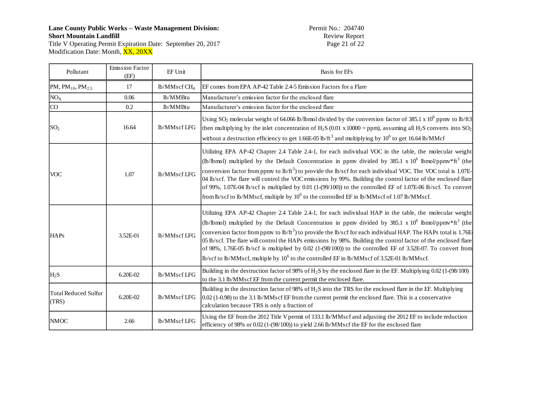**Lane County Public Works – Waste Management Division Short Mountain Landfill** 

**Permit No.: 204740<br>Review Report<br>Page 21 of 22** 

Title V Operating Permit Expiration Date: September 20, 2017 Page 21 of 22 Modification Date: Month, <mark>XX, 20XX</mark>

| Pollutant                     | <b>Emission Factor</b><br>(EF) | EF Unit                  | Basis for EFs                                                                                                                                                                                                                                                                                                                                                                                                                                                                                                                                                                                                                                                                                      |  |  |
|-------------------------------|--------------------------------|--------------------------|----------------------------------------------------------------------------------------------------------------------------------------------------------------------------------------------------------------------------------------------------------------------------------------------------------------------------------------------------------------------------------------------------------------------------------------------------------------------------------------------------------------------------------------------------------------------------------------------------------------------------------------------------------------------------------------------------|--|--|
| $PM$ , $PM_{10}$ , $PM_{2.5}$ | 17                             | lb/MMscf CH <sub>4</sub> | EF comes from EPA AP-42 Table 2.4-5 Emission Factors for a Flare                                                                                                                                                                                                                                                                                                                                                                                                                                                                                                                                                                                                                                   |  |  |
| NO <sub>X</sub>               | 0.06                           | lb/MMBtu                 | Manufacturer's emission factor for the enclosed flare                                                                                                                                                                                                                                                                                                                                                                                                                                                                                                                                                                                                                                              |  |  |
| <b>CO</b>                     | 0.2                            | lb/MMBtu                 | Manufacturer's emission factor for the enclosed flare                                                                                                                                                                                                                                                                                                                                                                                                                                                                                                                                                                                                                                              |  |  |
| SO <sub>2</sub>               | 16.64                          | lb/MMscf LFG             | Using $SO_2$ molecular weight of 64.066 lb/lbmol divided by the conversion factor of 385.1 x 10 <sup>6</sup> ppmv to lb/ft3<br>then multiplying by the inlet concentration of H <sub>2</sub> S (0.01 x 10000 = ppm), assuming all H <sub>2</sub> S converts into SO <sub>2</sub><br>without a destruction efficiency to get 1.66E-05 lb/ft <sup>3</sup> and multiplying by $10^6$ to get 16.64 lb/MMcf                                                                                                                                                                                                                                                                                             |  |  |
| <b>VOC</b>                    | 1.07                           | lb/MMscf LFG             | Utilizing EPA AP-42 Chapter 2.4 Table 2.4-1, for each individual VOC in the table, the molecular weight<br>(lb/lbmol) multiplied by the Default Concentration in ppmv divided by 385.1 x $10^6$ lbmol/ppmv*ft <sup>3</sup> (the<br>conversion factor from ppmv to $lb/ft^3$ to provide the lb/scf for each individual VOC. The VOC total is 1.07E-<br>$04$ lb/scf. The flare will control the VOC emissions by 99%. Building the control factor of the enclosed flare<br>of 99%, 1.07E-04 lb/scf is multiplied by 0.01 (1-(99/100)) to the controlled EF of 1.07E-06 lb/scf. To convert<br>from lb/scf to lb/MMscf, multiple by 10 <sup>6</sup> to the controlled EF in lb/MMscf of 1.07 lb/MMscf. |  |  |
| <b>HAPs</b>                   | 3.52E-01                       | lb/MMscf LFG             | Utilizing EPA AP-42 Chapter 2.4 Table 2.4-1, for each individual HAP in the table, the molecular weight<br>(lb/lbmol) multiplied by the Default Concentration in ppmv divided by 385.1 x $10^6$ lbmol/ppmv*ft <sup>3</sup> (the<br>conversion factor from ppmv to lb/ft <sup>3</sup> ) to provide the lb/scf for each individual HAP. The HAPs total is 1.76E<br>05 lb/scf. The flare will control the HAPs emissions by 98%. Building the control factor of the enclosed flare<br>of 98%, 1.76E-05 lb/scf is multiplied by 0.02 (1-(98/100)) to the controlled EF of 3.52E-07. To convert from<br>lb/scf to lb/MMscf, multiple by $10^6$ to the controlled EF in lb/MMscf of 3.52E-01 lb/MMscf.   |  |  |
| $H_2S$                        | 6.20E-02                       | lb/MMscf LFG             | Building in the destruction factor of 98% of H <sub>2</sub> S by the enclosed flare in the EF. Multiplying 0.02 (1-(98/100)<br>to the 3.1 lb/MMscf EF from the current permit the enclosed flare.                                                                                                                                                                                                                                                                                                                                                                                                                                                                                                  |  |  |
| Total Reduced Sulfur<br>(TRS) | 6.20E-02                       | lb/MMscf LFG             | Building in the destruction factor of 98% of $H_2S$ into the TRS for the enclosed flare in the EF. Multiplying<br>$0.02$ (1-0.98) to the 3.1 lb/MMscf EF from the current permit the enclosed flare. This is a conservative<br>calculation because TRS is only a fraction of                                                                                                                                                                                                                                                                                                                                                                                                                       |  |  |
| <b>NMOC</b>                   | 2.66                           | lb/MMscf LFG             | Using the EF from the 2012 Title V permit of 133.1 lb/MMscf and adjusting the 2012 EF to include reduction<br>efficiency of 98% or 0.02 (1-(98/100)) to yield 2.66 lb/MMscf the EF for the enclosed flare                                                                                                                                                                                                                                                                                                                                                                                                                                                                                          |  |  |